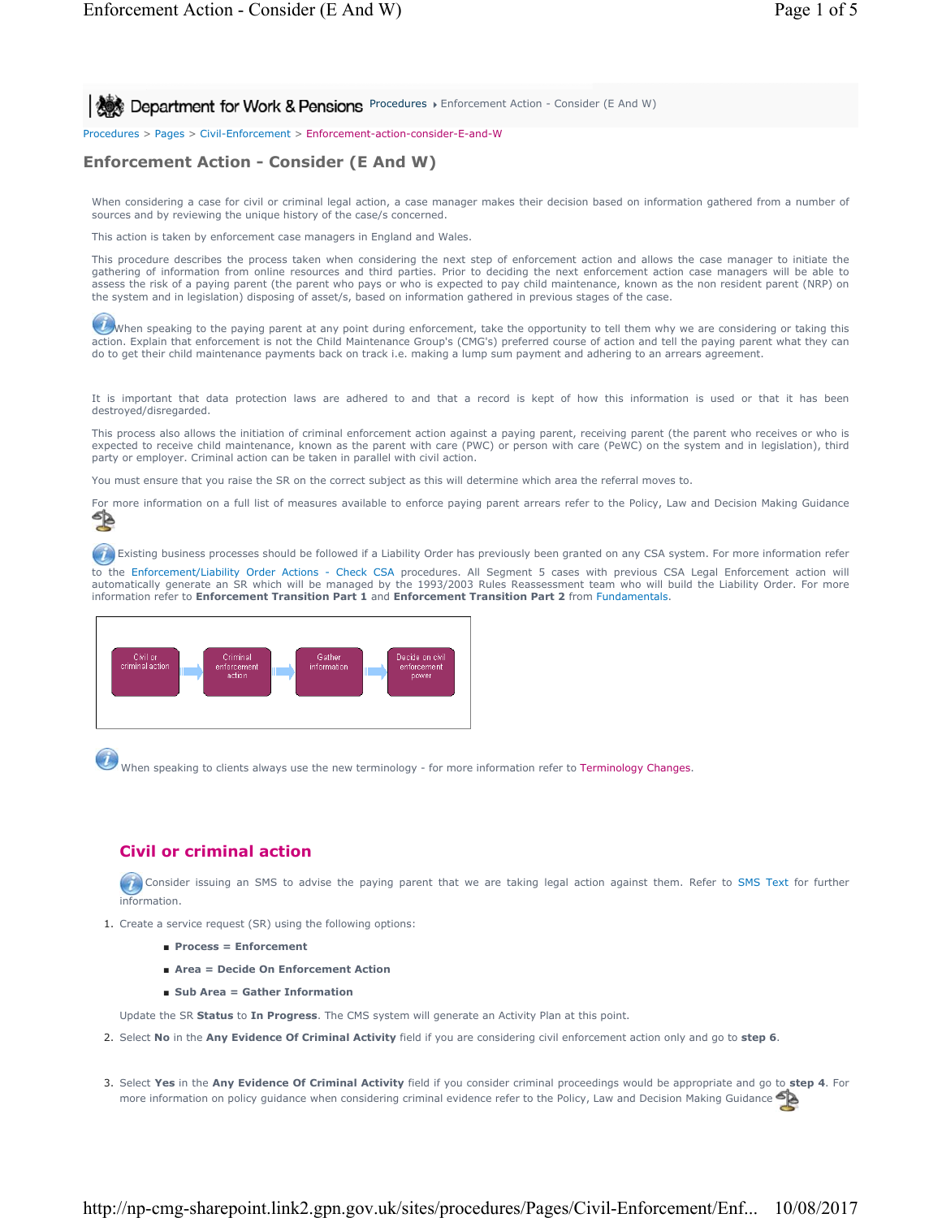**Procedures Fundement for Work & Pensions** Procedures Fundement Action - Consider (E And W)

Procedures > Pages > Civil-Enforcement > Enforcement-action-consider-E-and-W

# **Enforcement Action - Consider (E And W)**

When considering a case for civil or criminal legal action, a case manager makes their decision based on information gathered from a number of sources and by reviewing the unique history of the case/s concerned.

This action is taken by enforcement case managers in England and Wales.

This procedure describes the process taken when considering the next step of enforcement action and allows the case manager to initiate the gathering of information from online resources and third parties. Prior to deciding the next enforcement action case managers will be able to assess the risk of a paying parent (the parent who pays or who is expected to pay child maintenance, known as the non resident parent (NRP) on the system and in legislation) disposing of asset/s, based on information gathered in previous stages of the case.

When speaking to the paying parent at any point during enforcement, take the opportunity to tell them why we are considering or taking this action. Explain that enforcement is not the Child Maintenance Group's (CMG's) preferred course of action and tell the paying parent what they can do to get their child maintenance payments back on track i.e. making a lump sum payment and adhering to an arrears agreement.

It is important that data protection laws are adhered to and that a record is kept of how this information is used or that it has been destroyed/disregarded.

This process also allows the initiation of criminal enforcement action against a paying parent, receiving parent (the parent who receives or who is expected to receive child maintenance, known as the parent with care (PWC) or person with care (PeWC) on the system and in legislation), third party or employer. Criminal action can be taken in parallel with civil action.

You must ensure that you raise the SR on the correct subject as this will determine which area the referral moves to.

For more information on a full list of measures available to enforce paying parent arrears refer to the Policy, Law and Decision Making Guidance<br>Section on a full list of measures available to enforce paying parent arrears

Existing business processes should be followed if a Liability Order has previously been granted on any CSA system. For more information refer

to the Enforcement/Liability Order Actions - Check CSA procedures. All Segment 5 cases with previous CSA Legal Enforcement action will automatically generate an SR which will be managed by the 1993/2003 Rules Reassessment team who will build the Liability Order. For more information refer to **Enforcement Transition Part 1** and **Enforcement Transition Part 2** from Fundamentals.



When speaking to clients always use the new terminology - for more information refer to Terminology Changes.

## **Civil or criminal action**

Consider issuing an SMS to advise the paying parent that we are taking legal action against them. Refer to SMS Text for further information.

- 1. Create a service request (SR) using the following options:
	- **Process = Enforcement**
	- **Area = Decide On Enforcement Action**
	- **Sub Area = Gather Information**

Update the SR **Status** to **In Progress**. The CMS system will generate an Activity Plan at this point.

- 2. Select **No** in the **Any Evidence Of Criminal Activity** field if you are considering civil enforcement action only and go to **step 6**.
- Select **Yes** in the **Any Evidence Of Criminal Activity** field if you consider criminal proceedings would be appropriate and go to **step 4**. For 3. more information on policy guidance when considering criminal evidence refer to the Policy, Law and Decision Making Guidance

## http://np-cmg-sharepoint.link2.gpn.gov.uk/sites/procedures/Pages/Civil-Enforcement/Enf... 10/08/2017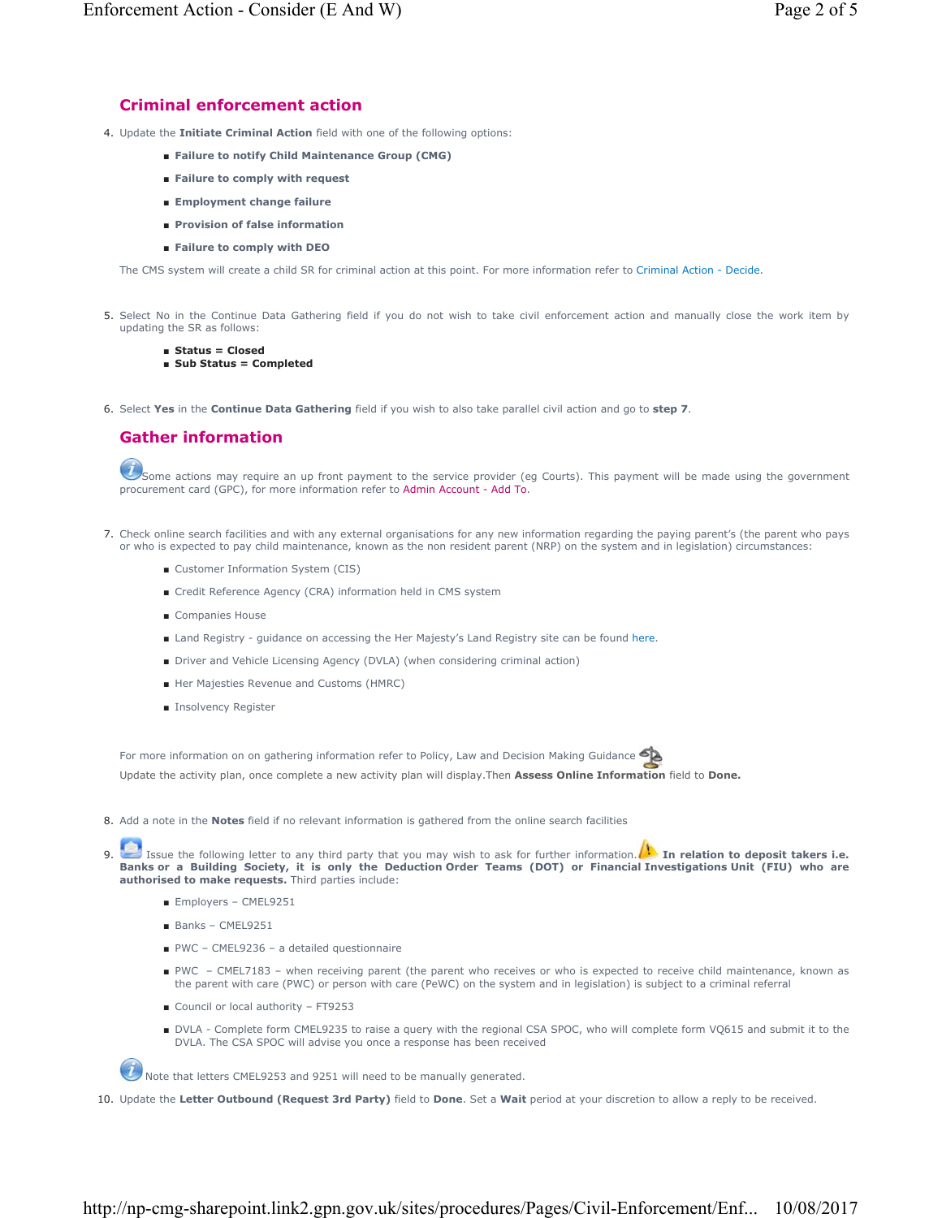# **Criminal enforcement action**

- 4. Update the **Initiate Criminal Action** field with one of the following options:
	- **Failure to notify Child Maintenance Group (CMG)**
	- **Failure to comply with request**
	- **Employment change failure**
	- **Provision of false information**
	- **Failure to comply with DEO**

The CMS system will create a child SR for criminal action at this point. For more information refer to Criminal Action - Decide.

- 5. Select No in the Continue Data Gathering field if you do not wish to take civil enforcement action and manually close the work item by updating the SR as follows:
	- **Status = Closed**
	- **Sub Status = Completed**
- 6. Select **Yes** in the **Continue Data Gathering** field if you wish to also take parallel civil action and go to **step 7**.

## **Gather information**

Some actions may require an up front payment to the service provider (eg Courts). This payment will be made using the government procurement card (GPC), for more information refer to Admin Account - Add To.

- Check online search facilities and with any external organisations for any new information regarding the paying parent's (the parent who pays 7. or who is expected to pay child maintenance, known as the non resident parent (NRP) on the system and in legislation) circumstances:
	- Customer Information System (CIS)
	- Credit Reference Agency (CRA) information held in CMS system
	- Companies House
	- Land Registry quidance on accessing the Her Majesty's Land Registry site can be found here.
	- Driver and Vehicle Licensing Agency (DVLA) (when considering criminal action)
	- Her Majesties Revenue and Customs (HMRC)
	- Insolvency Register

For more information on on gathering information refer to Policy, Law and Decision Making Guidance

Update the activity plan, once complete a new activity plan will display.Then **Assess Online Information** field to **Done.**

- 8. Add a note in the **Notes** field if no relevant information is gathered from the online search facilities
- Issue the following letter to any third party that you may wish to ask for further information. **In relation to deposit takers i.e. Banks or a Building Society, it is only the Deduction Order Teams (DOT) or Financial Investigations Unit (FIU) who are authorised to make requests.** Third parties include: 9.
	- Employers CMEL9251
	- Banks CMEL9251
	- PWC CMEL9236 a detailed questionnaire
	- PWC CMEL7183 when receiving parent (the parent who receives or who is expected to receive child maintenance, known as the parent with care (PWC) or person with care (PeWC) on the system and in legislation) is subject to a criminal referral
	- Council or local authority FT9253
	- DVLA Complete form CMEL9235 to raise a query with the regional CSA SPOC, who will complete form VQ615 and submit it to the DVLA. The CSA SPOC will advise you once a response has been received

Note that letters CMEL9253 and 9251 will need to be manually generated.

10. Update the **Letter Outbound (Request 3rd Party)** field to **Done**. Set a **Wait** period at your discretion to allow a reply to be received.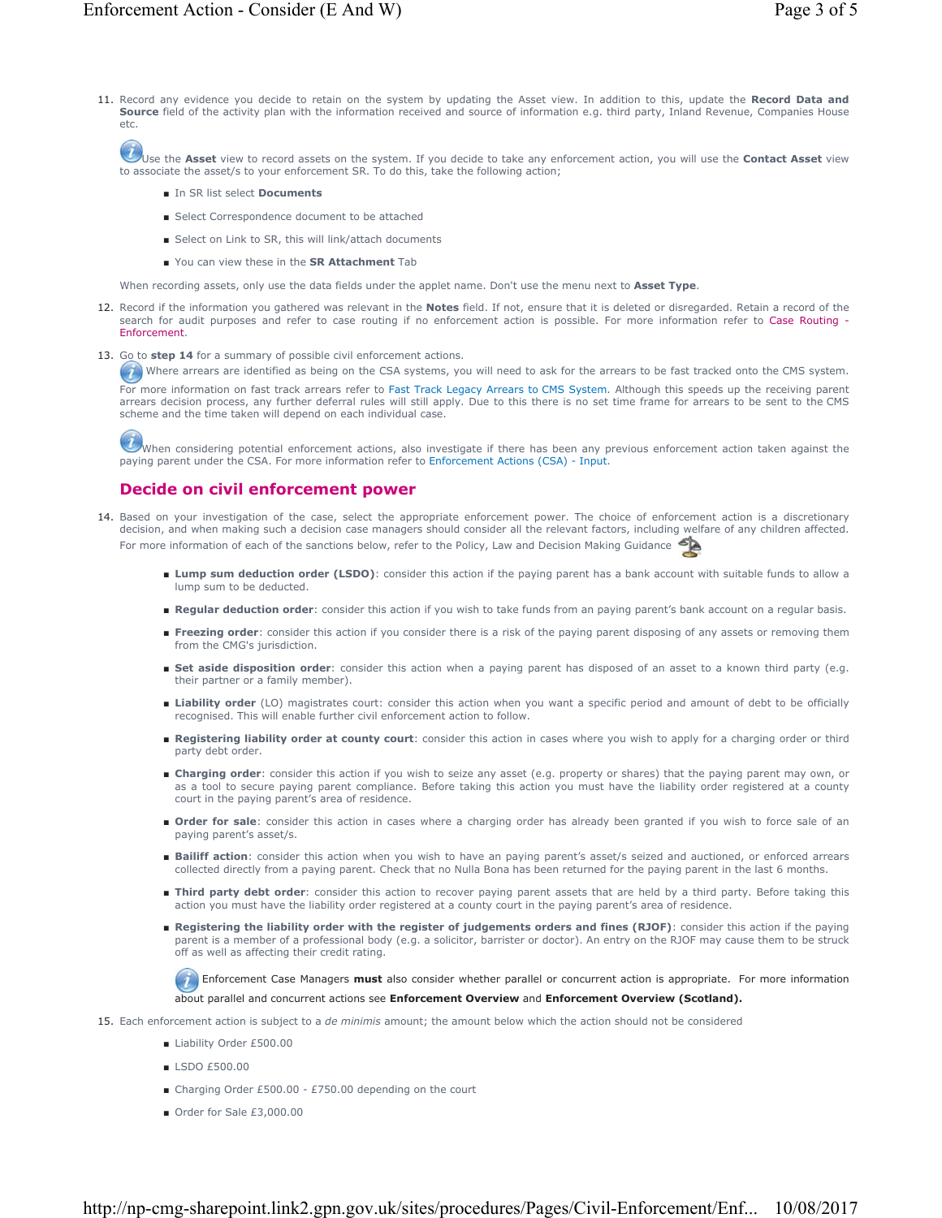11. Record any evidence you decide to retain on the system by updating the Asset view. In addition to this, update the Record Data and **Source** field of the activity plan with the information received and source of information e.g. third party, Inland Revenue, Companies House

Use the Asset view to record assets on the system. If you decide to take any enforcement action, you will use the Contact Asset view to associate the asset/s to your enforcement SR. To do this, take the following action;

■ In SR list select **Documents**

etc.

- Select Correspondence document to be attached
- Select on Link to SR, this will link/attach documents
- You can view these in the **SR Attachment** Tab

When recording assets, only use the data fields under the applet name. Don't use the menu next to **Asset Type**.

- 12. Record if the information you gathered was relevant in the **Notes** field. If not, ensure that it is deleted or disregarded. Retain a record of the search for audit purposes and refer to case routing if no enforcement action is possible. For more information refer to Case Routing - Enforcement.
- 13. Go to step 14 for a summary of possible civil enforcement actions.

Where arrears are identified as being on the CSA systems, you will need to ask for the arrears to be fast tracked onto the CMS system. For more information on fast track arrears refer to Fast Track Legacy Arrears to CMS System. Although this speeds up the receiving parent arrears decision process, any further deferral rules will still apply. Due to this there is no set time frame for arrears to be sent to the CMS scheme and the time taken will depend on each individual case.

When considering potential enforcement actions, also investigate if there has been any previous enforcement action taken against the paying parent under the CSA. For more information refer to Enforcement Actions (CSA) - Input.

### **Decide on civil enforcement power**

- 14. Based on your investigation of the case, select the appropriate enforcement power. The choice of enforcement action is a discretionary decision, and when making such a decision case managers should consider all the relevant factors, including welfare of any children affected. For more information of each of the sanctions below, refer to the Policy, Law and Decision Making Guidance
	- Lump sum deduction order (LSDO): consider this action if the paying parent has a bank account with suitable funds to allow a lump sum to be deducted.
	- **Regular deduction order**: consider this action if you wish to take funds from an paying parent's bank account on a regular basis.
	- Freezing order: consider this action if you consider there is a risk of the paying parent disposing of any assets or removing them from the CMG's jurisdiction.
	- Set aside disposition order: consider this action when a paying parent has disposed of an asset to a known third party (e.g. their partner or a family member).
	- Liability order (LO) magistrates court: consider this action when you want a specific period and amount of debt to be officially recognised. This will enable further civil enforcement action to follow.
	- Registering liability order at county court: consider this action in cases where you wish to apply for a charging order or third party debt order.
	- Charging order: consider this action if you wish to seize any asset (e.g. property or shares) that the paying parent may own, or as a tool to secure paying parent compliance. Before taking this action you must have the liability order registered at a county court in the paying parent's area of residence.
	- Order for sale: consider this action in cases where a charging order has already been granted if you wish to force sale of an paying parent's asset/s.
	- Bailiff action: consider this action when you wish to have an paying parent's asset/s seized and auctioned, or enforced arrears collected directly from a paying parent. Check that no Nulla Bona has been returned for the paying parent in the last 6 months.
	- Third party debt order: consider this action to recover paying parent assets that are held by a third party. Before taking this action you must have the liability order registered at a county court in the paying parent's area of residence.
	- Registering the liability order with the register of judgements orders and fines (RJOF): consider this action if the paying parent is a member of a professional body (e.g. a solicitor, barrister or doctor). An entry on the RJOF may cause them to be struck off as well as affecting their credit rating.

 Enforcement Case Managers **must** also consider whether parallel or concurrent action is appropriate. For more information about parallel and concurrent actions see **Enforcement Overview** and **Enforcement Overview (Scotland).**

15. Each enforcement action is subject to a *de minimis* amount; the amount below which the action should not be considered

- Liability Order £500.00
- LSDO £500.00
- Charging Order £500.00 £750.00 depending on the court
- Order for Sale £3,000.00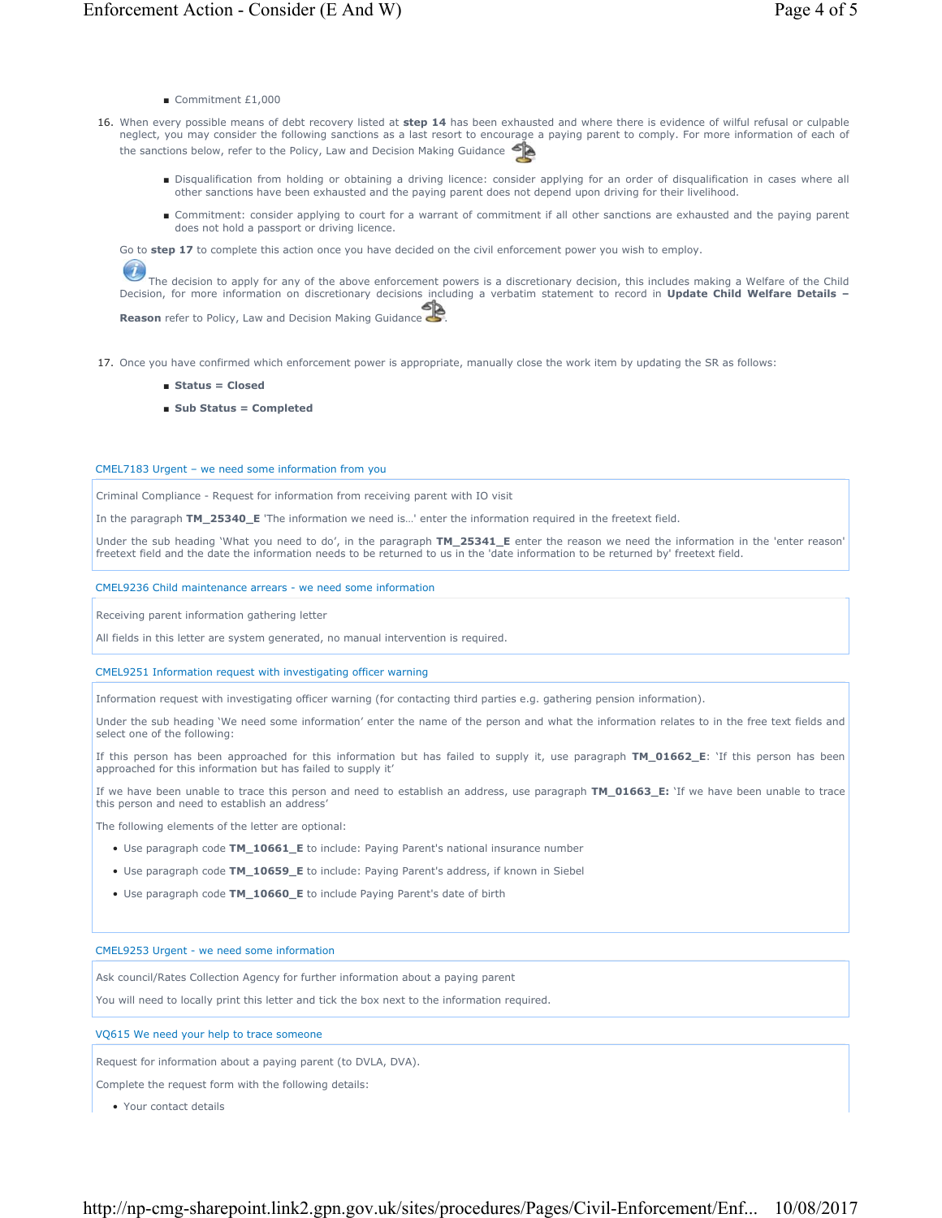- Commitment £1,000
- When every possible means of debt recovery listed at **step 14** has been exhausted and where there is evidence of wilful refusal or culpable neglect, you may consider the following sanctions as a last resort to encourage a paying parent to comply. For more information of each of the sanctions below, refer to the Policy, Law and Decision Making Guidance 16.
	- Disqualification from holding or obtaining a driving licence: consider applying for an order of disqualification in cases where all other sanctions have been exhausted and the paying parent does not depend upon driving for their livelihood.
	- Commitment: consider applying to court for a warrant of commitment if all other sanctions are exhausted and the paying parent does not hold a passport or driving licence.

Go to **step 17** to complete this action once you have decided on the civil enforcement power you wish to employ.

 $\overline{\mathcal{L}}$ The decision to apply for any of the above enforcement powers is a discretionary decision, this includes making a Welfare of the Child Decision, for more information on discretionary decisions including a verbatim statement to record in **Update Child Welfare Details –**

**Reason** refer to Policy, Law and Decision Making Guidance

17. Once you have confirmed which enforcement power is appropriate, manually close the work item by updating the SR as follows:

- **Status = Closed**
- **Sub Status = Completed**

### CMEL7183 Urgent – we need some information from you

Criminal Compliance - Request for information from receiving parent with IO visit

In the paragraph **TM\_25340\_E** 'The information we need is…' enter the information required in the freetext field.

Under the sub heading 'What you need to do', in the paragraph **TM\_25341\_E** enter the reason we need the information in the 'enter reason' freetext field and the date the information needs to be returned to us in the 'date information to be returned by' freetext field.

### CMEL9236 Child maintenance arrears - we need some information

Receiving parent information gathering letter

All fields in this letter are system generated, no manual intervention is required.

CMEL9251 Information request with investigating officer warning

Information request with investigating officer warning (for contacting third parties e.g. gathering pension information).

Under the sub heading 'We need some information' enter the name of the person and what the information relates to in the free text fields and select one of the following:

If this person has been approached for this information but has failed to supply it, use paragraph **TM\_01662\_E**: 'If this person has been approached for this information but has failed to supply it'

If we have been unable to trace this person and need to establish an address, use paragraph **TM\_01663\_E:** 'If we have been unable to trace this person and need to establish an address'

The following elements of the letter are optional:

- Use paragraph code **TM\_10661\_E** to include: Paying Parent's national insurance number
- Use paragraph code **TM\_10659\_E** to include: Paying Parent's address, if known in Siebel
- Use paragraph code **TM\_10660\_E** to include Paying Parent's date of birth

### CMEL9253 Urgent - we need some information

Ask council/Rates Collection Agency for further information about a paying parent

You will need to locally print this letter and tick the box next to the information required.

VQ615 We need your help to trace someone

Request for information about a paying parent (to DVLA, DVA).

Complete the request form with the following details:

• Your contact details